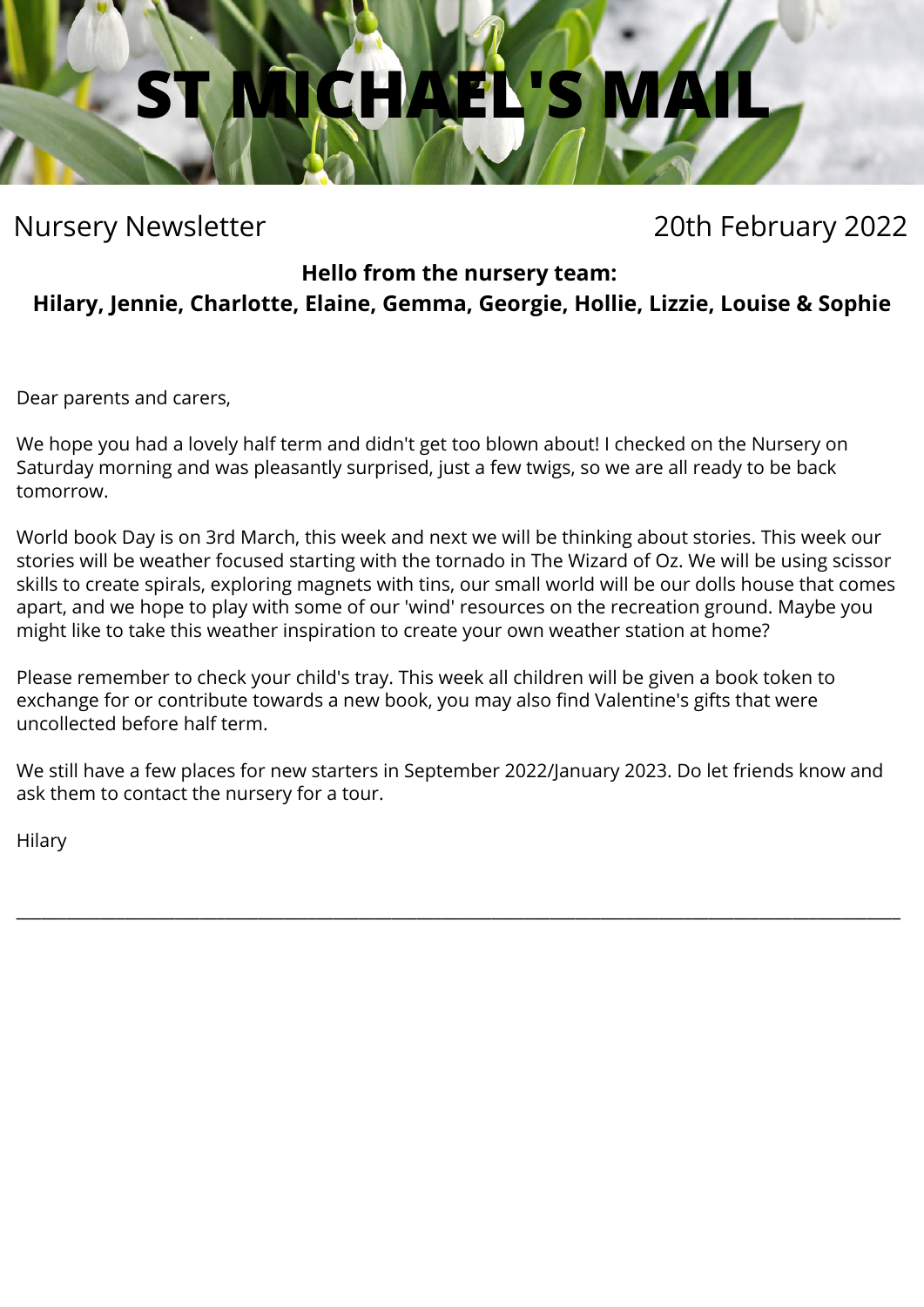

Nursery Newsletter 20th February 2022

**Hello from the nursery team:**

**Hilary, Jennie, Charlotte, Elaine, Gemma, Georgie, Hollie, Lizzie, Louise & Sophie**

Dear parents and carers,

We hope you had a lovely half term and didn't get too blown about! I checked on the Nursery on Saturday morning and was pleasantly surprised, just a few twigs, so we are all ready to be back tomorrow.

World book Day is on 3rd March, this week and next we will be thinking about stories. This week our stories will be weather focused starting with the tornado in The Wizard of Oz. We will be using scissor skills to create spirals, exploring magnets with tins, our small world will be our dolls house that comes apart, and we hope to play with some of our 'wind' resources on the recreation ground. Maybe you might like to take this weather inspiration to create your own weather station at home?

Please remember to check your child's tray. This week all children will be given a book token to exchange for or contribute towards a new book, you may also find Valentine's gifts that were uncollected before half term.

We still have a few places for new starters in September 2022/January 2023. Do let friends know and ask them to contact the nursery for a tour.

\_\_\_\_\_\_\_\_\_\_\_\_\_\_\_\_\_\_\_\_\_\_\_\_\_\_\_\_\_\_\_\_\_\_\_\_\_\_\_\_\_\_\_\_\_\_\_\_\_\_\_\_\_\_\_\_\_\_\_\_\_\_\_\_\_\_\_\_\_\_\_\_\_\_\_\_\_\_\_\_\_\_\_\_\_\_\_\_\_\_\_\_\_\_\_\_\_\_\_\_\_\_\_\_\_\_

Hilary